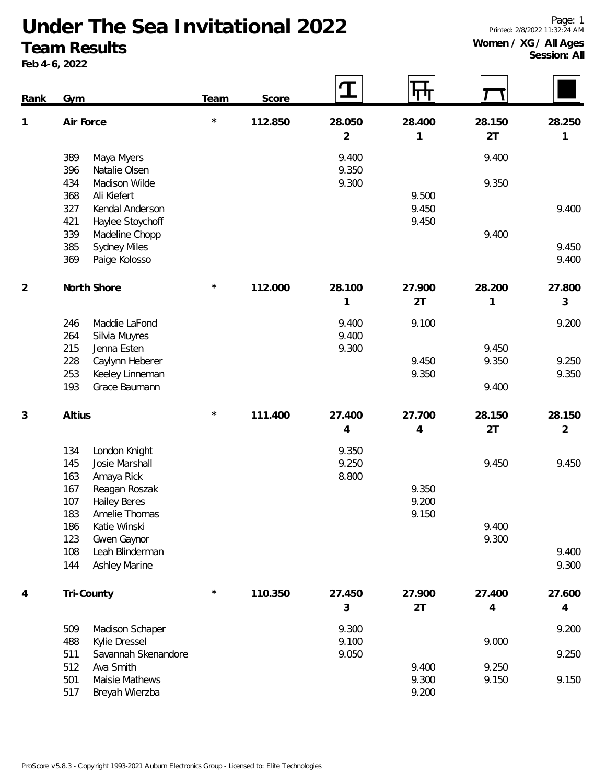Page: 1 Printed: 2/8/2022 11:32:24 AM

## **Women / XG / All Ages Session: All**

## **Under The Sea Invitational 2022 Team Results**

**Feb 4-6, 2022**

| Rank | Gym                                                | Team    | Score   | $\mathbf T$ | पाग            |                |                |
|------|----------------------------------------------------|---------|---------|-------------|----------------|----------------|----------------|
| 1    | Air Force                                          | $\star$ | 112.850 | 28.050      | 28.400         | 28.150         | 28.250         |
|      |                                                    |         |         | 2           | 1              | 2T             | 1              |
|      | 389<br>Maya Myers                                  |         |         | 9.400       |                | 9.400          |                |
|      | 396<br>Natalie Olsen                               |         |         | 9.350       |                |                |                |
|      | 434<br>Madison Wilde                               |         |         | 9.300       |                | 9.350          |                |
|      | 368<br>Ali Kiefert<br>327<br>Kendal Anderson       |         |         |             | 9.500<br>9.450 |                | 9.400          |
|      | 421<br>Haylee Stoychoff                            |         |         |             | 9.450          |                |                |
|      | 339<br>Madeline Chopp                              |         |         |             |                | 9.400          |                |
|      | 385<br><b>Sydney Miles</b>                         |         |         |             |                |                | 9.450          |
|      | 369<br>Paige Kolosso                               |         |         |             |                |                | 9.400          |
| 2    | North Shore                                        | $\star$ | 112.000 | 28.100      | 27.900         | 28.200         | 27.800         |
|      |                                                    |         |         | 1           | 2T             | 1              | 3              |
|      | 246<br>Maddie LaFond                               |         |         | 9.400       | 9.100          |                | 9.200          |
|      | 264<br>Silvia Muyres                               |         |         | 9.400       |                |                |                |
|      | 215<br>Jenna Esten                                 |         |         | 9.300       |                | 9.450          |                |
|      | 228<br>Caylynn Heberer<br>253                      |         |         |             | 9.450<br>9.350 | 9.350          | 9.250<br>9.350 |
|      | Keeley Linneman<br>193<br>Grace Baumann            |         |         |             |                | 9.400          |                |
|      |                                                    |         |         |             |                |                |                |
| 3    | Altius                                             | $\star$ | 111.400 | 27.400      | 27.700         | 28.150         | 28.150         |
|      |                                                    |         |         | 4           | 4              | 2T             | $\overline{2}$ |
|      | 134<br>London Knight                               |         |         | 9.350       |                |                |                |
|      | 145<br>Josie Marshall                              |         |         | 9.250       |                | 9.450          | 9.450          |
|      | 163<br>Amaya Rick                                  |         |         | 8.800       |                |                |                |
|      | 167<br>Reagan Roszak<br>107<br><b>Hailey Beres</b> |         |         |             | 9.350<br>9.200 |                |                |
|      | 183<br>Amelie Thomas                               |         |         |             | 9.150          |                |                |
|      | Katie Winski<br>186                                |         |         |             |                | 9.400          |                |
|      | 123<br>Gwen Gaynor                                 |         |         |             |                | 9.300          |                |
|      | 108<br>Leah Blinderman                             |         |         |             |                |                | 9.400          |
|      | 144<br>Ashley Marine                               |         |         |             |                |                | 9.300          |
| 4    | Tri-County                                         | $\star$ | 110.350 | 27.450      | 27.900         | 27.400         | 27.600         |
|      |                                                    |         |         | 3           | 2T             | $\overline{4}$ | 4              |
|      | 509<br>Madison Schaper                             |         |         | 9.300       |                |                | 9.200          |
|      | 488<br>Kylie Dressel                               |         |         | 9.100       |                | 9.000          |                |
|      | 511<br>Savannah Skenandore                         |         |         | 9.050       |                |                | 9.250          |
|      | 512<br>Ava Smith<br>501<br>Maisie Mathews          |         |         |             | 9.400<br>9.300 | 9.250<br>9.150 | 9.150          |
|      | 517<br>Breyah Wierzba                              |         |         |             | 9.200          |                |                |